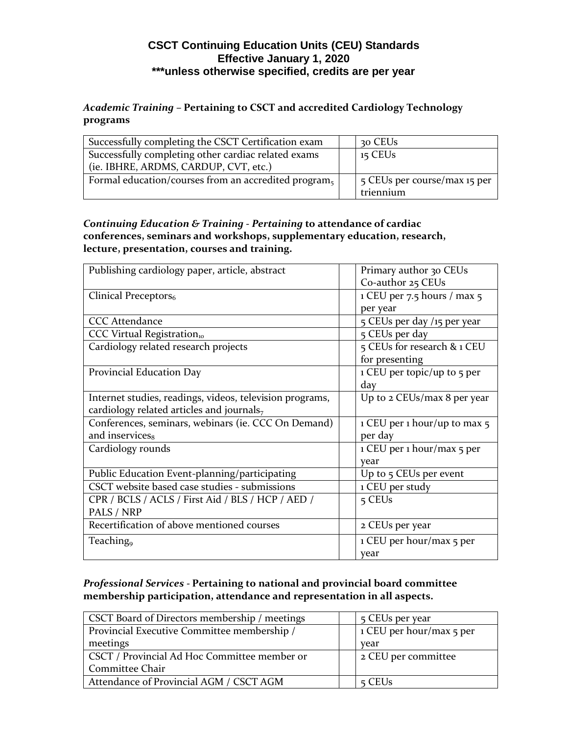## **CSCT Continuing Education Units (CEU) Standards Effective January 1, 2020 \*\*\*unless otherwise specified, credits are per year**

*Academic Training –* **Pertaining to CSCT and accredited Cardiology Technology programs**

| Successfully completing the CSCT Certification exam  | 30 CEUs                      |
|------------------------------------------------------|------------------------------|
| Successfully completing other cardiac related exams  | $15$ CEUs                    |
| (ie. IBHRE, ARDMS, CARDUP, CVT, etc.)                |                              |
| Formal education/courses from an accredited program, | 5 CEUs per course/max 15 per |
|                                                      | triennium                    |

*Continuing Education & Training - Pertaining* **to attendance of cardiac conferences, seminars and workshops, supplementary education, research, lecture, presentation, courses and training.**

| Publishing cardiology paper, article, abstract           | Primary author 30 CEUs         |
|----------------------------------------------------------|--------------------------------|
|                                                          | Co-author 25 CEUs              |
| Clinical Preceptors <sub>6</sub>                         | $1$ CEU per 7.5 hours / max 5  |
|                                                          | per year                       |
| <b>CCC</b> Attendance                                    | 5 CEUs per day /15 per year    |
| CCC Virtual Registration10                               | 5 CEUs per day                 |
| Cardiology related research projects                     | 5 CEUs for research & 1 CEU    |
|                                                          | for presenting                 |
| Provincial Education Day                                 | 1 CEU per topic/up to 5 per    |
|                                                          | day                            |
| Internet studies, readings, videos, television programs, | Up to 2 CEUs/max 8 per year    |
| cardiology related articles and journals <sub>7</sub>    |                                |
| Conferences, seminars, webinars (ie. CCC On Demand)      | 1 CEU per 1 hour/up to max $5$ |
| and inservices <sub>8</sub>                              | per day                        |
| Cardiology rounds                                        | 1 CEU per 1 hour/max 5 per     |
|                                                          | year                           |
| Public Education Event-planning/participating            | Up to 5 CEUs per event         |
| CSCT website based case studies - submissions            | 1 CEU per study                |
| CPR / BCLS / ACLS / First Aid / BLS / HCP / AED /        | 5 CEUs                         |
| PALS / NRP                                               |                                |
| Recertification of above mentioned courses               | 2 CEUs per year                |
| Teaching <sub>9</sub>                                    | 1 CEU per hour/max 5 per       |
|                                                          | year                           |

*Professional Services -* **Pertaining to national and provincial board committee membership participation, attendance and representation in all aspects.** 

| CSCT Board of Directors membership / meetings | 5 CEUs per year          |
|-----------------------------------------------|--------------------------|
| Provincial Executive Committee membership /   | 1 CEU per hour/max 5 per |
| meetings                                      | year                     |
| CSCT / Provincial Ad Hoc Committee member or  | 2 CEU per committee      |
| Committee Chair                               |                          |
| Attendance of Provincial AGM / CSCT AGM       | $5$ CEUs                 |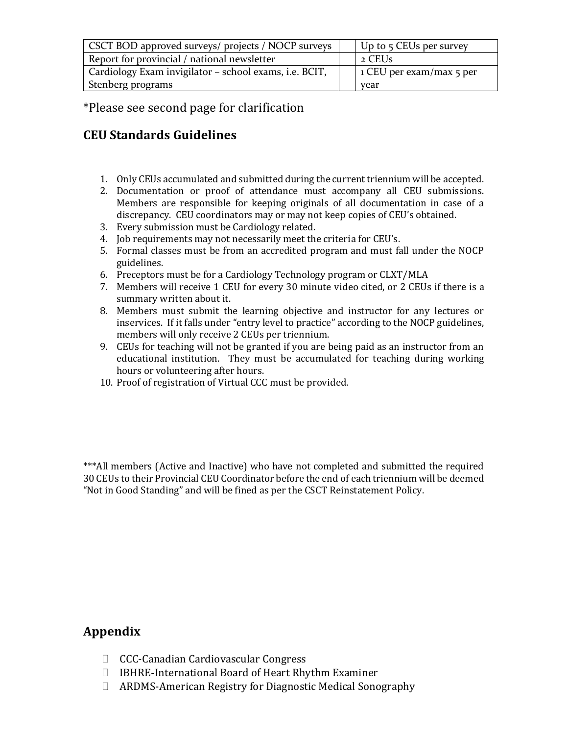| CSCT BOD approved surveys/ projects / NOCP surveys     | $\bigcup$ Up to 5 CEUs per survey |
|--------------------------------------------------------|-----------------------------------|
| Report for provincial / national newsletter            | 2 CEUs                            |
| Cardiology Exam invigilator - school exams, i.e. BCIT, | $\vert$ 1 CEU per exam/max 5 per  |
| Stenberg programs                                      | year                              |

\*Please see second page for clarification

## **CEU Standards Guidelines**

- 1. Only CEUs accumulated and submitted during the current triennium will be accepted.
- 2. Documentation or proof of attendance must accompany all CEU submissions. Members are responsible for keeping originals of all documentation in case of a discrepancy. CEU coordinators may or may not keep copies of CEU's obtained.
- 3. Every submission must be Cardiology related.
- 4. Job requirements may not necessarily meet the criteria for CEU's.
- 5. Formal classes must be from an accredited program and must fall under the NOCP guidelines.
- 6. Preceptors must be for a Cardiology Technology program or CLXT/MLA
- 7. Members will receive 1 CEU for every 30 minute video cited, or 2 CEUs if there is a summary written about it.
- 8. Members must submit the learning objective and instructor for any lectures or inservices. If it falls under "entry level to practice" according to the NOCP guidelines, members will only receive 2 CEUs per triennium.
- 9. CEUs for teaching will not be granted if you are being paid as an instructor from an educational institution. They must be accumulated for teaching during working hours or volunteering after hours.
- 10. Proof of registration of Virtual CCC must be provided.

\*\*\*All members (Active and Inactive) who have not completed and submitted the required 30 CEUs to their Provincial CEU Coordinator before the end of each triennium will be deemed "Not in Good Standing" and will be fined as per the CSCT Reinstatement Policy.

## **Appendix**

- CCC-Canadian Cardiovascular Congress
- IBHRE-International Board of Heart Rhythm Examiner
- ARDMS-American Registry for Diagnostic Medical Sonography